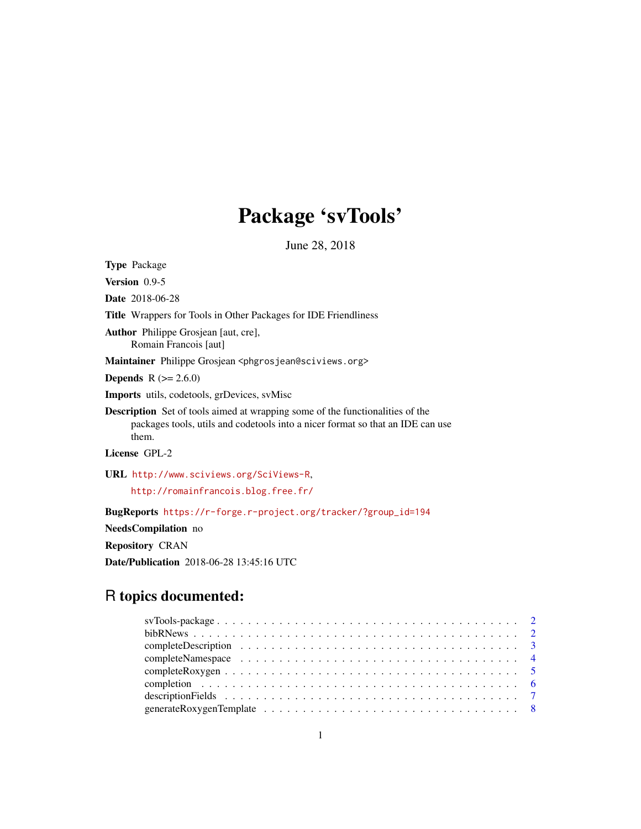# Package 'svTools'

June 28, 2018

<span id="page-0-0"></span>Type Package

Version 0.9-5

Date 2018-06-28

Title Wrappers for Tools in Other Packages for IDE Friendliness

Author Philippe Grosjean [aut, cre], Romain Francois [aut]

Maintainer Philippe Grosjean <phgrosjean@sciviews.org>

**Depends**  $R (= 2.6.0)$ 

Imports utils, codetools, grDevices, svMisc

Description Set of tools aimed at wrapping some of the functionalities of the packages tools, utils and codetools into a nicer format so that an IDE can use them.

License GPL-2

URL <http://www.sciviews.org/SciViews-R>,

<http://romainfrancois.blog.free.fr/>

BugReports [https://r-forge.r-project.org/tracker/?group\\_id=194](https://r-forge.r-project.org/tracker/?group_id=194)

NeedsCompilation no

Repository CRAN

Date/Publication 2018-06-28 13:45:16 UTC

## R topics documented:

| description Fields $\ldots \ldots \ldots \ldots \ldots \ldots \ldots \ldots \ldots \ldots \ldots \ldots \ldots$ |  |
|-----------------------------------------------------------------------------------------------------------------|--|
|                                                                                                                 |  |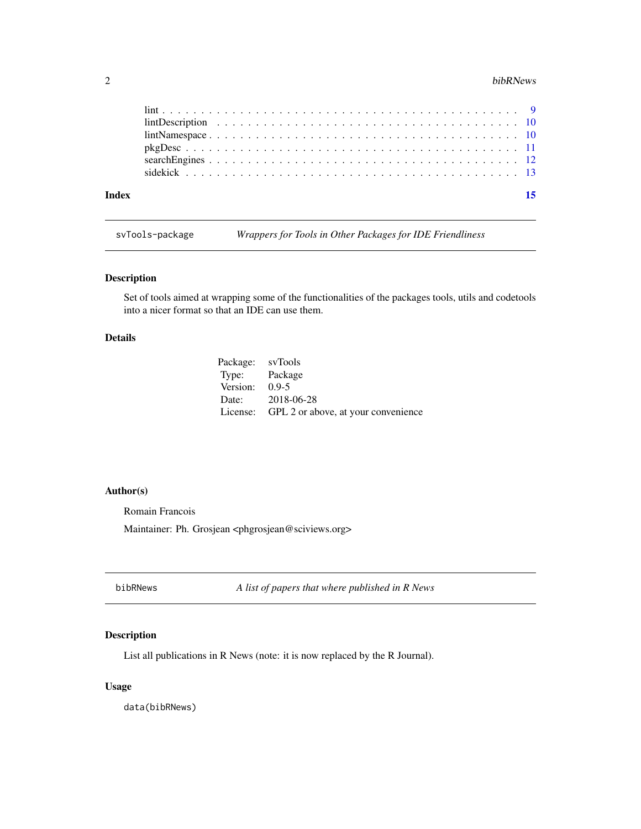#### <span id="page-1-0"></span>2 bibRNews

| Index |  |
|-------|--|
|       |  |
|       |  |
|       |  |
|       |  |
|       |  |
|       |  |

svTools-package *Wrappers for Tools in Other Packages for IDE Friendliness*

#### Description

Set of tools aimed at wrapping some of the functionalities of the packages tools, utils and codetools into a nicer format so that an IDE can use them.

#### Details

| Package: svTools |                                              |
|------------------|----------------------------------------------|
| Type: Package    |                                              |
| Version: $0.9-5$ |                                              |
|                  | Date: 2018-06-28                             |
|                  | License: GPL 2 or above, at your convenience |

#### Author(s)

Romain Francois

Maintainer: Ph. Grosjean <phgrosjean@sciviews.org>

<span id="page-1-1"></span>bibRNews *A list of papers that where published in R News*

#### Description

List all publications in R News (note: it is now replaced by the R Journal).

#### Usage

data(bibRNews)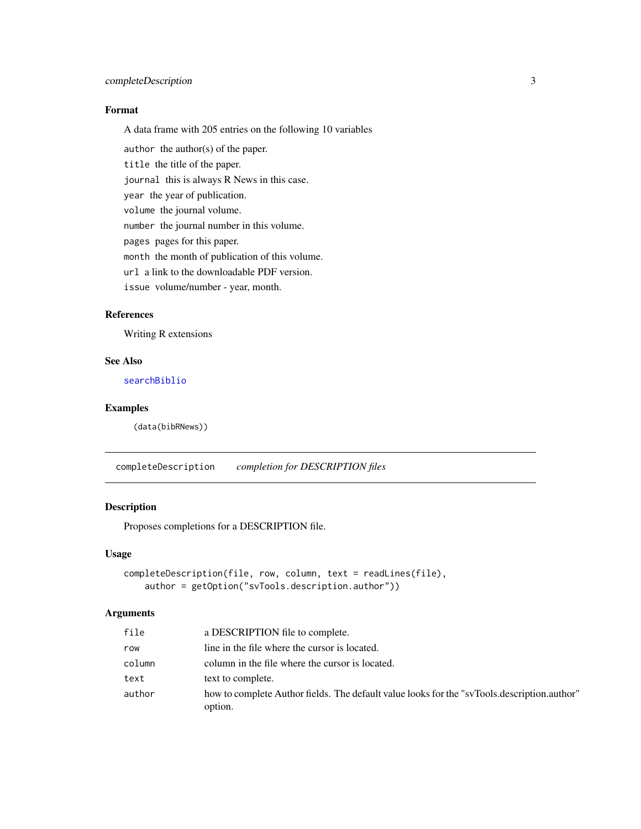#### <span id="page-2-0"></span>completeDescription 3

#### Format

A data frame with 205 entries on the following 10 variables

author the author(s) of the paper. title the title of the paper. journal this is always R News in this case. year the year of publication. volume the journal volume. number the journal number in this volume. pages pages for this paper. month the month of publication of this volume. url a link to the downloadable PDF version. issue volume/number - year, month.

#### References

Writing R extensions

#### See Also

[searchBiblio](#page-11-1)

#### Examples

(data(bibRNews))

<span id="page-2-1"></span>completeDescription *completion for DESCRIPTION files*

#### Description

Proposes completions for a DESCRIPTION file.

#### Usage

```
completeDescription(file, row, column, text = readLines(file),
   author = getOption("svTools.description.author"))
```
#### Arguments

| file   | a DESCRIPTION file to complete.                                                                          |
|--------|----------------------------------------------------------------------------------------------------------|
| row    | line in the file where the cursor is located.                                                            |
| column | column in the file where the cursor is located.                                                          |
| text   | text to complete.                                                                                        |
| author | how to complete Author fields. The default value looks for the "syTools. description. author"<br>option. |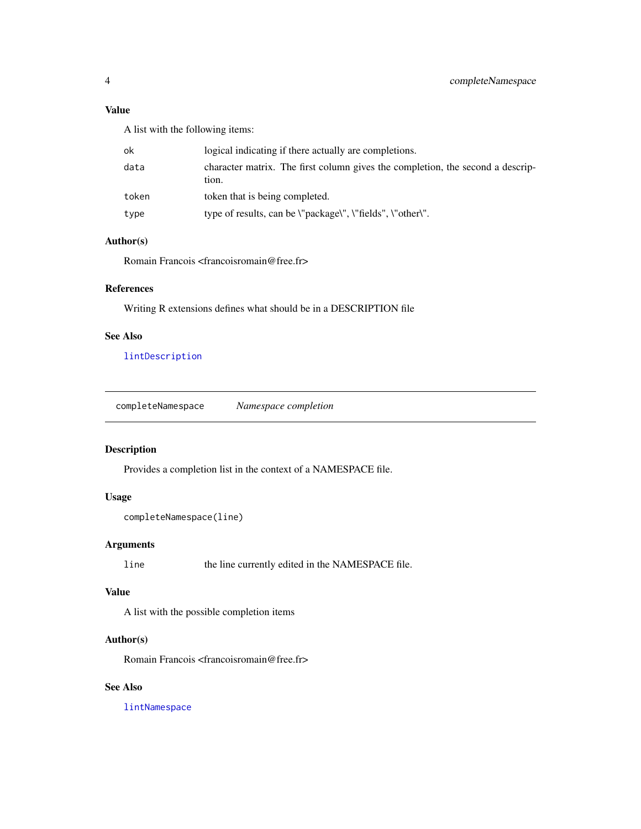#### <span id="page-3-0"></span>Value

A list with the following items:

| ok    | logical indicating if there actually are completions.                                   |
|-------|-----------------------------------------------------------------------------------------|
| data  | character matrix. The first column gives the completion, the second a descrip-<br>tion. |
| token | token that is being completed.                                                          |
| type  | type of results, can be \"package\", \"fields", \"other\".                              |

#### Author(s)

Romain Francois <francoisromain@free.fr>

#### References

Writing R extensions defines what should be in a DESCRIPTION file

#### See Also

[lintDescription](#page-9-1)

<span id="page-3-1"></span>completeNamespace *Namespace completion*

#### Description

Provides a completion list in the context of a NAMESPACE file.

#### Usage

```
completeNamespace(line)
```
#### Arguments

line the line currently edited in the NAMESPACE file.

#### Value

A list with the possible completion items

#### Author(s)

Romain Francois <francoisromain@free.fr>

#### See Also

[lintNamespace](#page-9-2)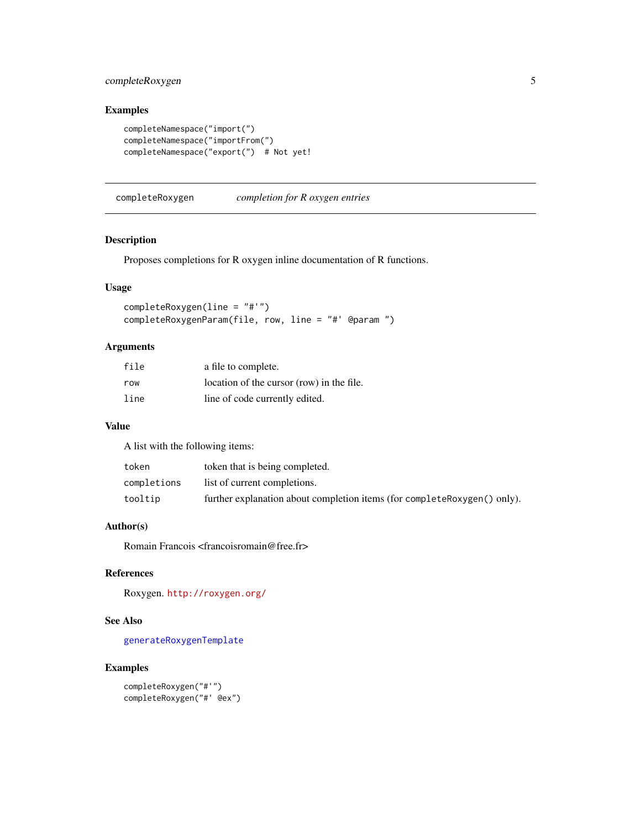#### <span id="page-4-0"></span>completeRoxygen 5

#### Examples

```
completeNamespace("import(")
completeNamespace("importFrom(")
completeNamespace("export(") # Not yet!
```
<span id="page-4-1"></span>completeRoxygen *completion for R oxygen entries*

#### Description

Proposes completions for R oxygen inline documentation of R functions.

#### Usage

```
completeRoxygen(line = "#'")
completeRoxygenParam(file, row, line = "#' @param ")
```
#### Arguments

| file | a file to complete.                       |
|------|-------------------------------------------|
| row  | location of the cursor (row) in the file. |
| line | line of code currently edited.            |

#### Value

A list with the following items:

| token       | token that is being completed.                                             |
|-------------|----------------------------------------------------------------------------|
| completions | list of current completions.                                               |
| tooltip     | further explanation about completion items (for complete Roxygen () only). |

#### Author(s)

Romain Francois <francoisromain@free.fr>

#### References

Roxygen. <http://roxygen.org/>

#### See Also

[generateRoxygenTemplate](#page-7-1)

#### Examples

```
completeRoxygen("#'")
completeRoxygen("#' @ex")
```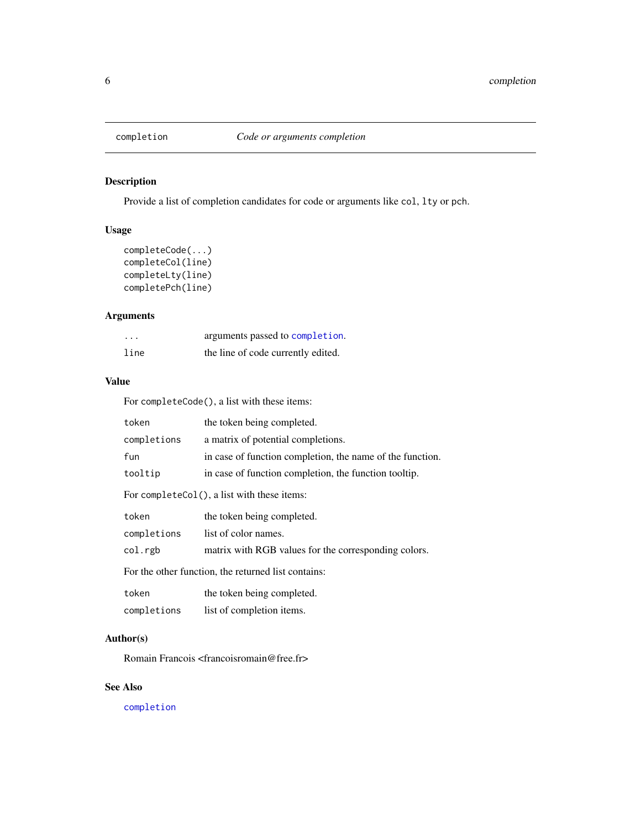<span id="page-5-1"></span><span id="page-5-0"></span>

#### Description

Provide a list of completion candidates for code or arguments like col, lty or pch.

#### Usage

```
completeCode(...)
completeCol(line)
completeLty(line)
completePch(line)
```
#### Arguments

| .    | arguments passed to completion.    |
|------|------------------------------------|
| line | the line of code currently edited. |

#### Value

For completeCode(), a list with these items:

| token       | the token being completed.                                |
|-------------|-----------------------------------------------------------|
| completions | a matrix of potential completions.                        |
| fun         | in case of function completion, the name of the function. |
| tooltip     | in case of function completion, the function tooltip.     |
|             | For completeCol(), a list with these items:               |
| token       | the token being completed.                                |
| completions | list of color names.                                      |
| col.rgb     | matrix with RGB values for the corresponding colors.      |
|             | For the other function, the returned list contains:       |
| token       | the token being completed.                                |
| completions | list of completion items.                                 |

#### Author(s)

Romain Francois <francoisromain@free.fr>

#### See Also

[completion](#page-5-1)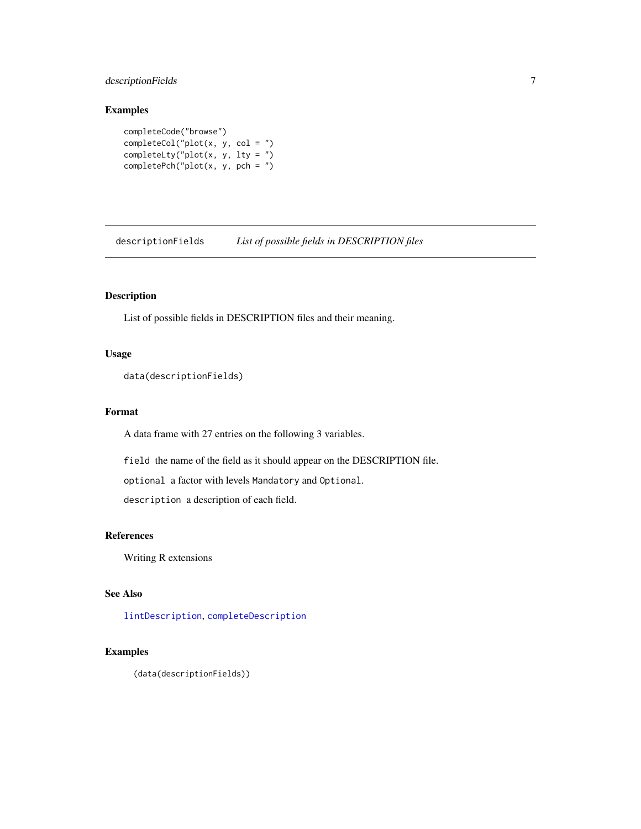#### <span id="page-6-0"></span>descriptionFields 7

#### Examples

```
completeCode("browse")
completeCol("plot(x, y, col = ")
completeLty("plot(x, y, lty = ")
completePch("plot(x, y, pch = ")
```
descriptionFields *List of possible fields in DESCRIPTION files*

#### Description

List of possible fields in DESCRIPTION files and their meaning.

#### Usage

```
data(descriptionFields)
```
#### Format

A data frame with 27 entries on the following 3 variables.

field the name of the field as it should appear on the DESCRIPTION file.

optional a factor with levels Mandatory and Optional.

description a description of each field.

#### References

Writing R extensions

#### See Also

[lintDescription](#page-9-1), [completeDescription](#page-2-1)

#### Examples

(data(descriptionFields))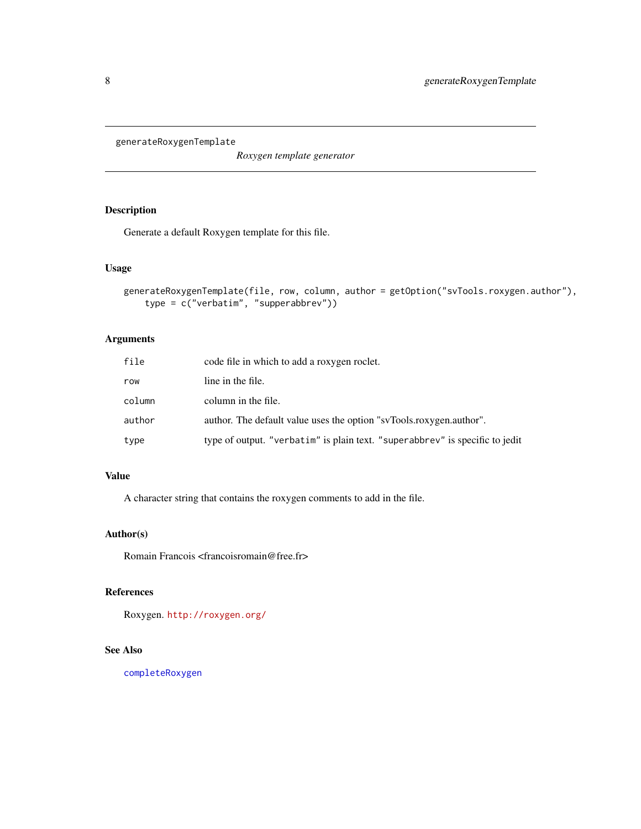<span id="page-7-1"></span><span id="page-7-0"></span>generateRoxygenTemplate

*Roxygen template generator*

### Description

Generate a default Roxygen template for this file.

#### Usage

```
generateRoxygenTemplate(file, row, column, author = getOption("svTools.roxygen.author"),
    type = c("verbatim", "supperabbrev"))
```
#### Arguments

| file   | code file in which to add a roxygen roclet.                                  |
|--------|------------------------------------------------------------------------------|
| row    | line in the file.                                                            |
| column | column in the file.                                                          |
| author | author. The default value uses the option "syTools.roxygen.author".          |
| type   | type of output. "verbatim" is plain text. "superabbrev" is specific to jedit |

#### Value

A character string that contains the roxygen comments to add in the file.

#### Author(s)

Romain Francois <francoisromain@free.fr>

#### References

Roxygen. <http://roxygen.org/>

#### See Also

[completeRoxygen](#page-4-1)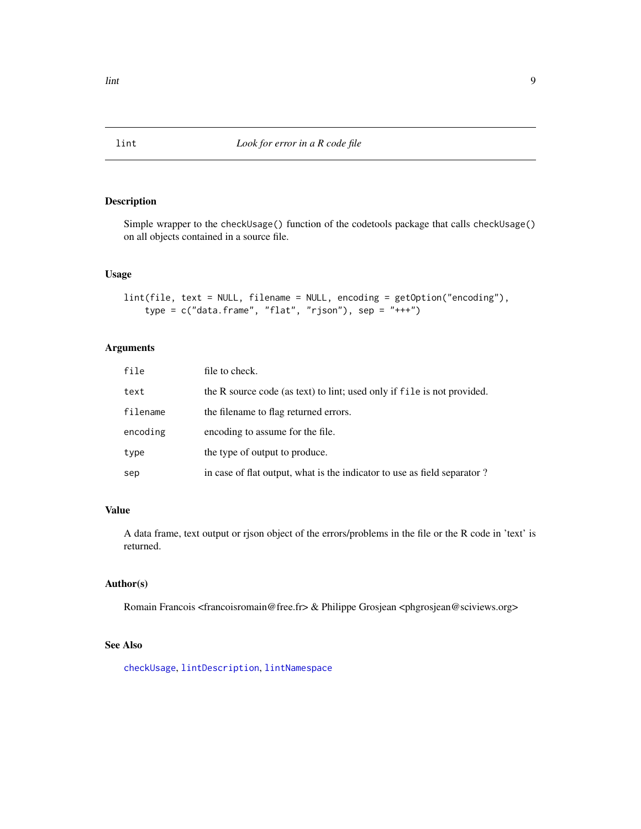#### Description

Simple wrapper to the checkUsage() function of the codetools package that calls checkUsage() on all objects contained in a source file.

#### Usage

```
lint(file, text = NULL, filename = NULL, encoding = getOption("encoding"),
    type = c("data-frame", "flat", "rjson"), sep = "+++")
```
#### Arguments

| file     | file to check.                                                           |
|----------|--------------------------------------------------------------------------|
| text     | the R source code (as text) to lint; used only if file is not provided.  |
| filename | the filename to flag returned errors.                                    |
| encoding | encoding to assume for the file.                                         |
| type     | the type of output to produce.                                           |
| sep      | in case of flat output, what is the indicator to use as field separator? |

#### Value

A data frame, text output or rjson object of the errors/problems in the file or the R code in 'text' is returned.

#### Author(s)

Romain Francois <francoisromain@free.fr> & Philippe Grosjean <phgrosjean@sciviews.org>

#### See Also

[checkUsage](#page-0-0), [lintDescription](#page-9-1), [lintNamespace](#page-9-2)

<span id="page-8-0"></span>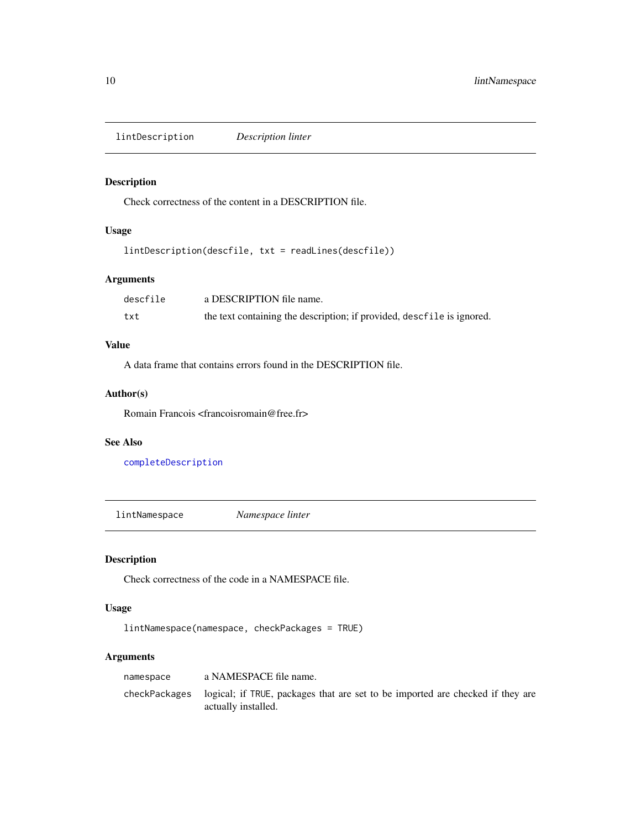<span id="page-9-1"></span><span id="page-9-0"></span>lintDescription *Description linter*

#### Description

Check correctness of the content in a DESCRIPTION file.

### Usage

lintDescription(descfile, txt = readLines(descfile))

#### Arguments

| descfile | a DESCRIPTION file name.                                               |
|----------|------------------------------------------------------------------------|
| txt      | the text containing the description; if provided, describe is ignored. |

#### Value

A data frame that contains errors found in the DESCRIPTION file.

#### Author(s)

Romain Francois <francoisromain@free.fr>

#### See Also

[completeDescription](#page-2-1)

<span id="page-9-2"></span>lintNamespace *Namespace linter*

### Description

Check correctness of the code in a NAMESPACE file.

#### Usage

```
lintNamespace(namespace, checkPackages = TRUE)
```
#### Arguments

| namespace     | a NAMESPACE file name.                                                                                |
|---------------|-------------------------------------------------------------------------------------------------------|
| checkPackages | logical; if TRUE, packages that are set to be imported are checked if they are<br>actually installed. |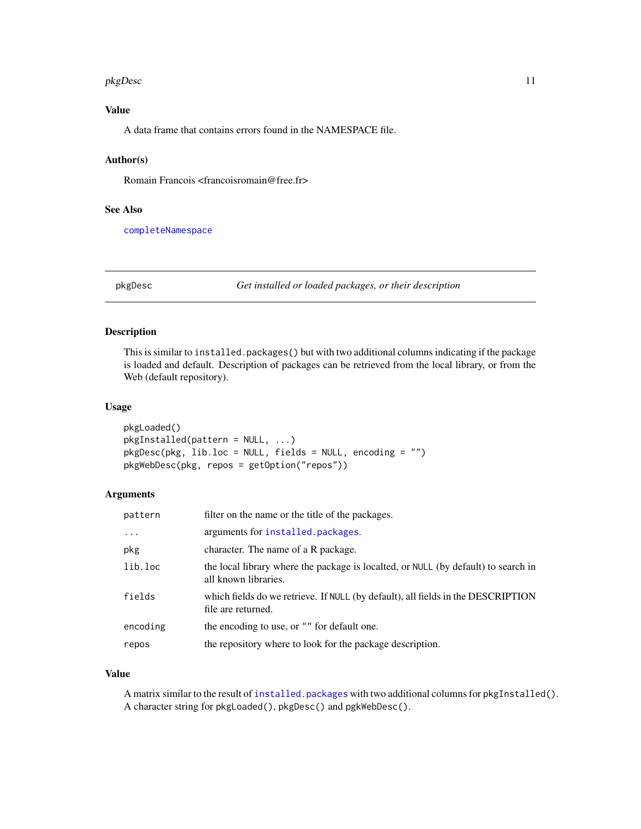#### <span id="page-10-0"></span>pkgDesc 211 and 2012 11 and 2012 12:30 12:30 12:30 12:30 12:30 12:30 12:30 12:30 12:30 12:30 12:30 12:30 12:30

#### Value

A data frame that contains errors found in the NAMESPACE file.

#### Author(s)

Romain Francois <francoisromain@free.fr>

#### See Also

[completeNamespace](#page-3-1)

pkgDesc *Get installed or loaded packages, or their description*

#### Description

This is similar to installed.packages() but with two additional columns indicating if the package is loaded and default. Description of packages can be retrieved from the local library, or from the Web (default repository).

#### Usage

```
pkgLoaded()
pkgInstalled(pattern = NULL, ...)
pkgDesc(pkg, lib.loc = NULL, fields = NULL, encoding = "")
pkgWebDesc(pkg, repos = getOption("repos"))
```
#### Arguments

| pattern  | filter on the name or the title of the packages.                                                           |
|----------|------------------------------------------------------------------------------------------------------------|
| $\cdots$ | arguments for installed.packages.                                                                          |
| pkg      | character. The name of a R package.                                                                        |
| lib.loc  | the local library where the package is localted, or NULL (by default) to search in<br>all known libraries. |
| fields   | which fields do we retrieve. If NULL (by default), all fields in the DESCRIPTION<br>file are returned.     |
| encoding | the encoding to use, or "" for default one.                                                                |
| repos    | the repository where to look for the package description.                                                  |

#### Value

A matrix similar to the result of [installed.packages](#page-0-0) with two additional columns for pkgInstalled(). A character string for pkgLoaded(), pkgDesc() and pgkWebDesc().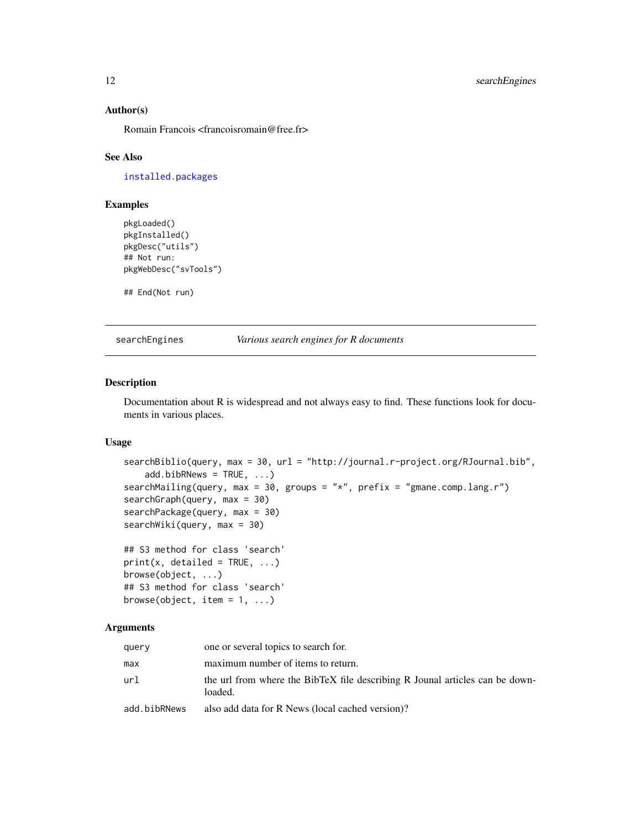#### Author(s)

Romain Francois <francoisromain@free.fr>

#### See Also

[installed.packages](#page-0-0)

#### Examples

```
pkgLoaded()
pkgInstalled()
pkgDesc("utils")
## Not run:
pkgWebDesc("svTools")
```
## End(Not run)

searchEngines *Various search engines for R documents*

#### <span id="page-11-1"></span>Description

Documentation about R is widespread and not always easy to find. These functions look for documents in various places.

#### Usage

```
searchBiblio(query, max = 30, url = "http://journal.r-project.org/RJournal.bib",
    add.bibRNews = TRUE, ...)searchMailing(query, max = 30, groups = "*", prefix = "gmane.comp.lang.r")
searchGraph(query, max = 30)
searchPackage(query, max = 30)
searchWiki(query, max = 30)
```

```
## S3 method for class 'search'
print(x, detailed = TRUE, ...)browse(object, ...)
## S3 method for class 'search'
browse(object, item = 1, ...)
```
#### Arguments

| query        | one or several topics to search for.                                                    |
|--------------|-----------------------------------------------------------------------------------------|
| max          | maximum number of items to return.                                                      |
| ur1          | the url from where the BibTeX file describing R Jounal articles can be down-<br>loaded. |
| add.bibRNews | also add data for R News (local cached version)?                                        |

<span id="page-11-0"></span>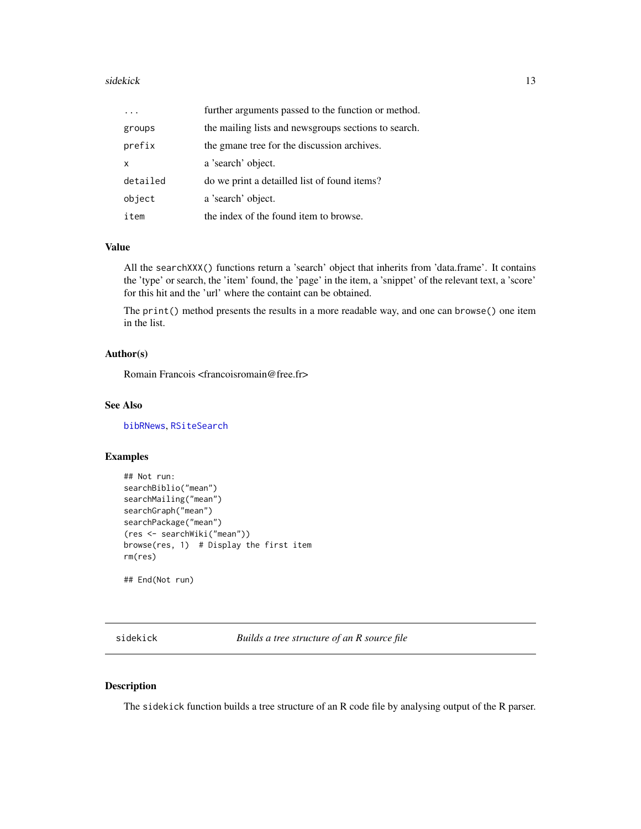#### <span id="page-12-0"></span>sidekick and the state of the state of the state of the state of the state of the state of the state of the state of the state of the state of the state of the state of the state of the state of the state of the state of t

|                           | further arguments passed to the function or method.   |
|---------------------------|-------------------------------------------------------|
| groups                    | the mailing lists and news groups sections to search. |
| prefix                    | the gmane tree for the discussion archives.           |
| $\boldsymbol{\mathsf{x}}$ | a 'search' object.                                    |
| detailed                  | do we print a detailled list of found items?          |
| object                    | a 'search' object.                                    |
| item                      | the index of the found item to browse.                |

#### Value

All the searchXXX() functions return a 'search' object that inherits from 'data.frame'. It contains the 'type' or search, the 'item' found, the 'page' in the item, a 'snippet' of the relevant text, a 'score' for this hit and the 'url' where the containt can be obtained.

The print() method presents the results in a more readable way, and one can browse() one item in the list.

#### Author(s)

Romain Francois <francoisromain@free.fr>

#### See Also

[bibRNews](#page-1-1), [RSiteSearch](#page-0-0)

#### Examples

```
## Not run:
searchBiblio("mean")
searchMailing("mean")
searchGraph("mean")
searchPackage("mean")
(res <- searchWiki("mean"))
browse(res, 1) # Display the first item
rm(res)
```
## End(Not run)

sidekick *Builds a tree structure of an R source file*

#### Description

The sidekick function builds a tree structure of an R code file by analysing output of the R parser.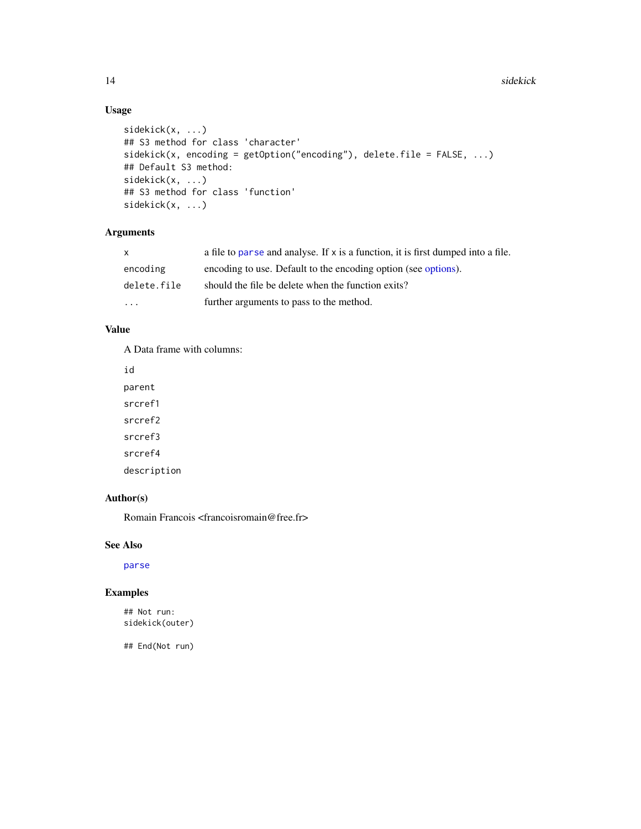#### Usage

```
sidekick(x, ...)
## S3 method for class 'character'
sidekick(x, encoding = getOption("encoding"), delete.file = FALSE, ...)
## Default S3 method:
sidekick(x, ...)
## S3 method for class 'function'
sidekick(x, ...)
```
#### Arguments

| X           | a file to parse and analyse. If $x$ is a function, it is first dumped into a file. |
|-------------|------------------------------------------------------------------------------------|
| encoding    | encoding to use. Default to the encoding option (see options).                     |
| delete.file | should the file be delete when the function exits?                                 |
| $\cdot$     | further arguments to pass to the method.                                           |

#### Value

A Data frame with columns:

id parent srcref1 srcref2 srcref3 srcref4 description

#### Author(s)

Romain Francois <francoisromain@free.fr>

#### See Also

[parse](#page-0-0)

#### Examples

## Not run: sidekick(outer)

## End(Not run)

<span id="page-13-0"></span>